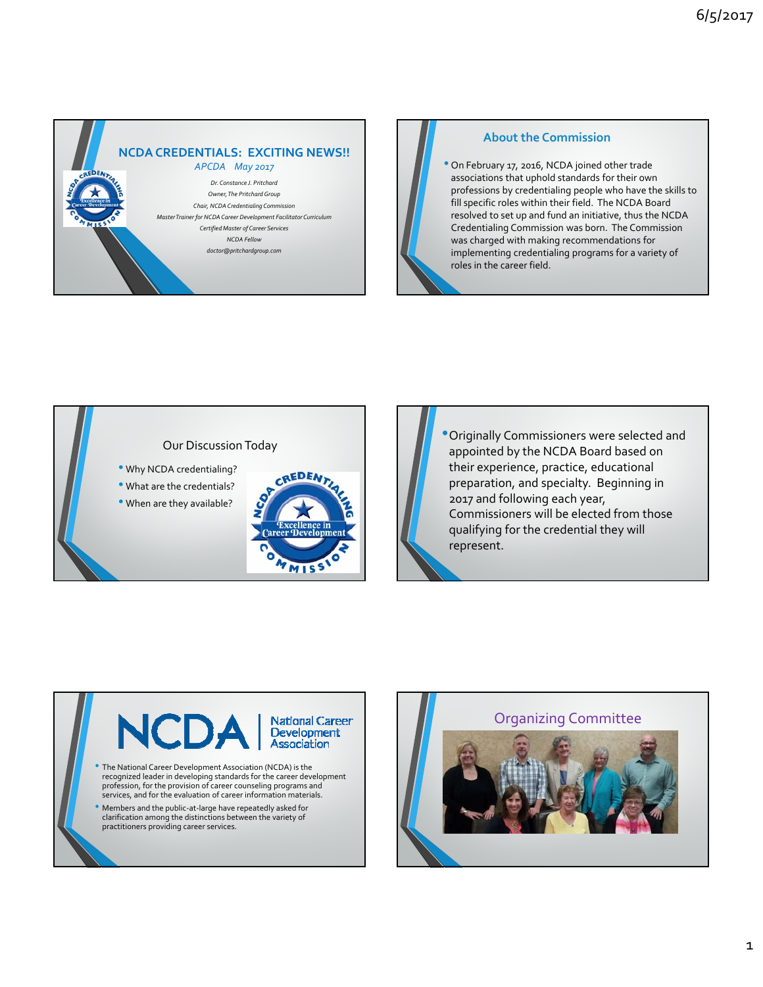



## **About the Commission**

• On February 17, 2016, NCDA joined other trade associations that uphold standards for their own professions by credentialing people who have the skills to fill specific roles within their field. The NCDA Board resolved to set up and fund an initiative, thus the NCDA Credentialing Commission was born. The Commission was charged with making recommendations for implementing credentialing programs for a variety of roles in the career field.

# Our Discussion Today

- Why NCDA credentialing?
- What are the credentials?
- When are they available?



•Originally Commissioners were selected and appointed by the NCDA Board based on their experience, practice, educational preparation, and specialty. Beginning in 2017 and following each year, Commissioners will be elected from those qualifying for the credential they will represent.



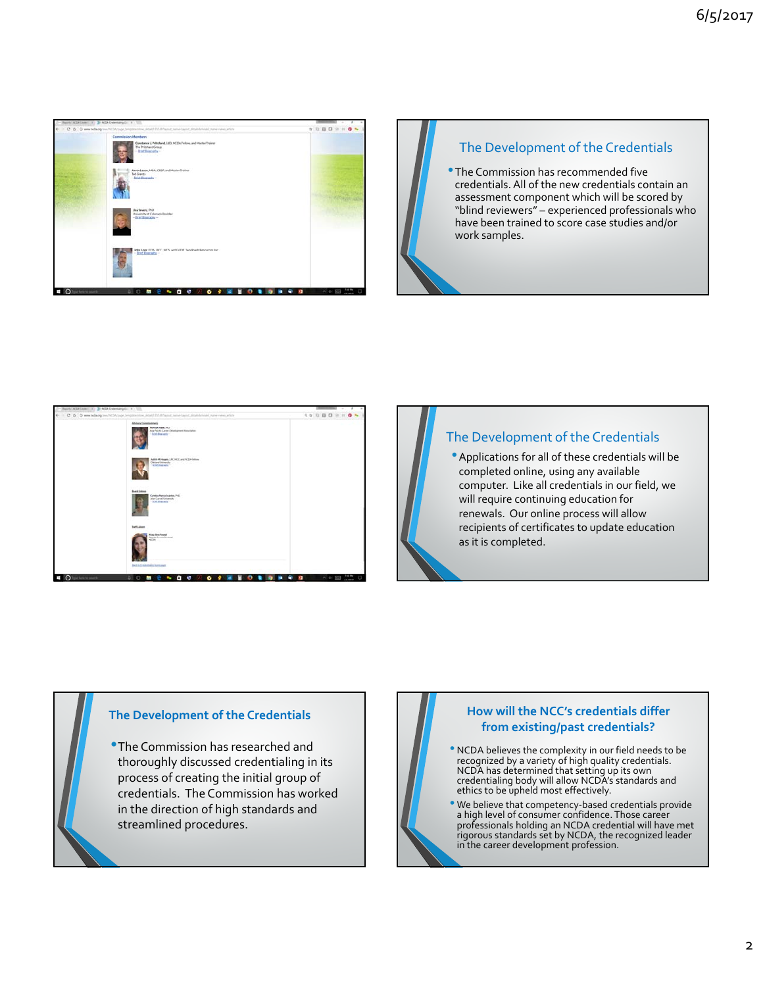

# The Development of the Credentials

•The Commission has recommended five credentials. All of the new credentials contain an assessment component which will be scored by "blind reviewers" – experienced professionals who have been trained to score case studies and/or work samples.



# The Development of the Credentials

•Applications for all of these credentials will be completed online, using any available computer. Like all credentials in our field, we will require continuing education for renewals. Our online process will allow recipients of certificates to update education as it is completed.

### **The Development of the Credentials**

•The Commission has researched and thoroughly discussed credentialing in its process of creating the initial group of credentials. The Commission has worked in the direction of high standards and streamlined procedures.

### **How will the NCC's credentials differ from existing/past credentials?**

- NCDA believes the complexity in our field needs to be recognized by a variety of high quality credentials. NCDA has determined that setting up its own<br>credentialing body will allow NCDA's standards and ethics to be upheld most effectively.
- We believe that competency‐based credentials provide <sup>a</sup> high level of consumer confidence. Those career professionals holding an NCDA credential will have met rigorous standards set by NCDA, the recognized leader in the career development profession.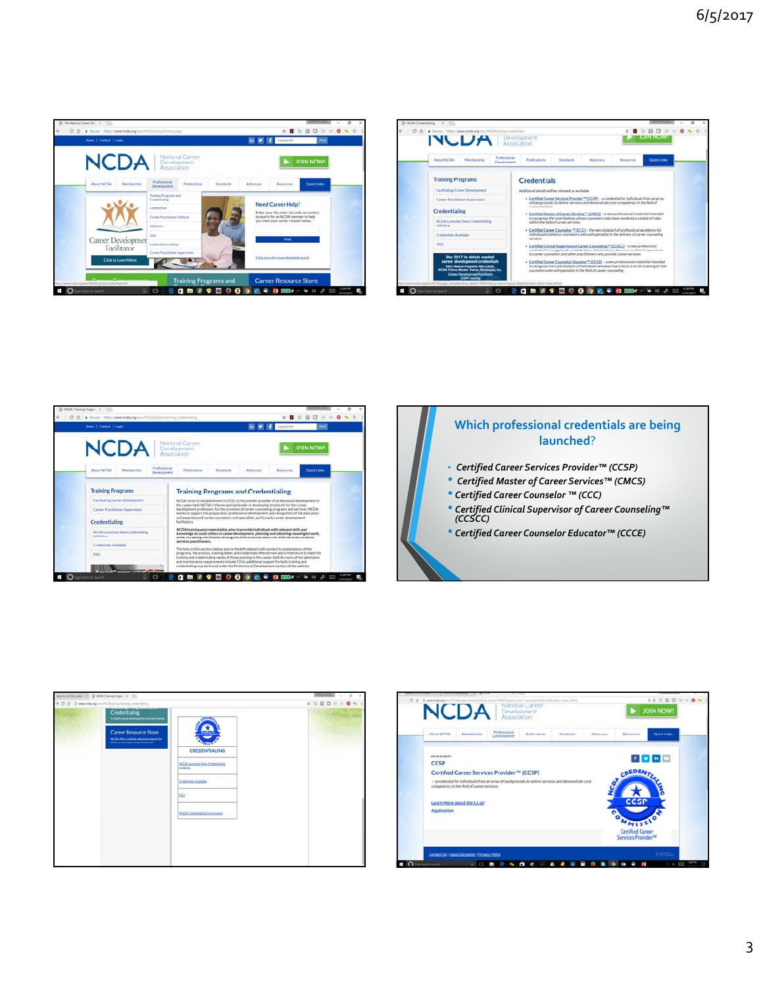

| <b>NUDA Development</b>                                                                                                                                                                                                  | <b>JUIN NUW!</b>                                                                                                                                                                                                                                                       |                                 |  |  |  |
|--------------------------------------------------------------------------------------------------------------------------------------------------------------------------------------------------------------------------|------------------------------------------------------------------------------------------------------------------------------------------------------------------------------------------------------------------------------------------------------------------------|---------------------------------|--|--|--|
| Professional<br>About NCOA<br>Membership<br>Development                                                                                                                                                                  | Públications<br>Standards<br>Advisory                                                                                                                                                                                                                                  | <b>Quick Links</b><br>Resources |  |  |  |
| <b>Training Programs</b>                                                                                                                                                                                                 | <b>Credentials</b>                                                                                                                                                                                                                                                     |                                 |  |  |  |
| Facilitating Career Development                                                                                                                                                                                          | Additional details will be released as available.                                                                                                                                                                                                                      |                                 |  |  |  |
| Career Practitioner Supervision                                                                                                                                                                                          | . Certified Career Services Provider <sup>to</sup> (CCSP) -- a credential for individuals from an array<br>of backgrounds, to deliver services and demonstrate core competency in the field of                                                                         |                                 |  |  |  |
| <b>Credentialing</b>                                                                                                                                                                                                     | chrone specifical<br>- Certified Master of Career Services <sup>18</sup> (CMCS) - a new professional credential interested<br>to recognize the contributions of non-counselors who have mastered a variety of roles                                                    |                                 |  |  |  |
| NCDA Launches New Credentialing<br><b>Indication</b>                                                                                                                                                                     | sultivin the field of career services.                                                                                                                                                                                                                                 |                                 |  |  |  |
| Credentials Available                                                                                                                                                                                                    | . Certified Career Counselor <sup>74</sup> (CCC) - the new standard of professional excellence for<br>individuals trained as counselors, who will specialize in the delivery of career counseling<br>services                                                          |                                 |  |  |  |
| <b>FAO</b>                                                                                                                                                                                                               | . Certified Clinical Supervisor of Career Counseling ** (CCSCC) - a new professional<br>credit of the recognize the contributions of individuals who serve as clinical supervisors.<br>to career counselors and other practitioners who provide career services.       |                                 |  |  |  |
| the 2017 to obtain needed<br>career development credentials<br>Ellen Wasner Paquette, MA, CAGS.<br><b>NCOA Feliow, Master Trainer, Developpe, Inc.</b><br><b>Career Development Facilitator</b><br><b>ICSP)</b> training | - Certified Career Cournelor Educator <sup>ne</sup> (CCCE) - a new professional credential intended<br>to recognize the contributions of individuals whose primary focus is on the training of new<br>counselors who will specialize in the field of career counseling |                                 |  |  |  |







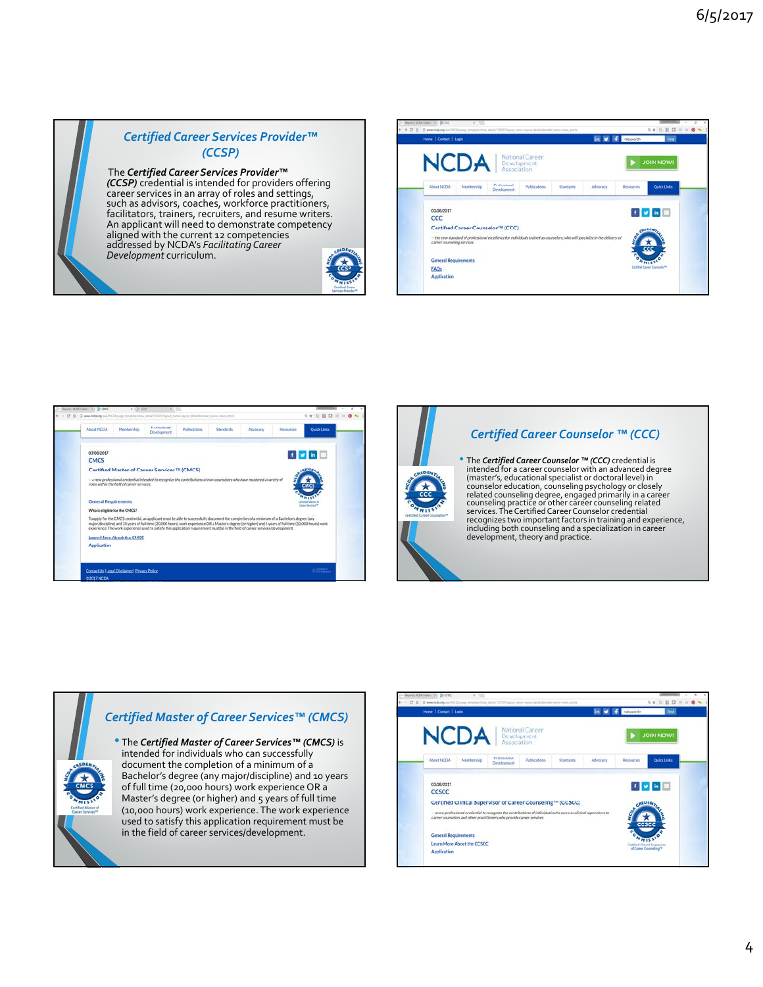# *Certified Career Services Provider™ (CCSP)*

# The *Certified Career Services Provider™*

*(CCSP)* credential is intended for providers offering<br>career services in an array of roles and settings, such as advisors, coaches, workforce practitioners, facilitators, trainers, recruiters, and resume writers. An applicant will need to demonstrate competency aligned with the current 12 competencies addressed by NCDA's *FacilitatingCareer Development* curriculum.









### *Certified Career Counselor ™ (CCC)*

• The *Certified Career Counselor ™ (CCC)* credential is intended for a career counselor with an advanced degree (master's, educational specialist or doctoral level) in counselor education, counseling psychology or closely related counseling degree, engaged primarily in <sup>a</sup> career counseling practice or other career counseling related services.TheCertifiedCareerCounselor credential recognizes two important factors in training and experience, including both counseling and <sup>a</sup> specialization in career development, theory and practice.



• The *Certified Master of Career Services™ (CMCS)* is intended for individuals who can successfully document the completion of a minimum of a Bachelor's degree (any major/discipline) and 10 years of full time (20,000 hours) work experience OR a Master's degree (or higher) and 5 years of full time (10,000 hours) work experience. The work experience used to satisfy this application requirement must be in the field of career services/development.

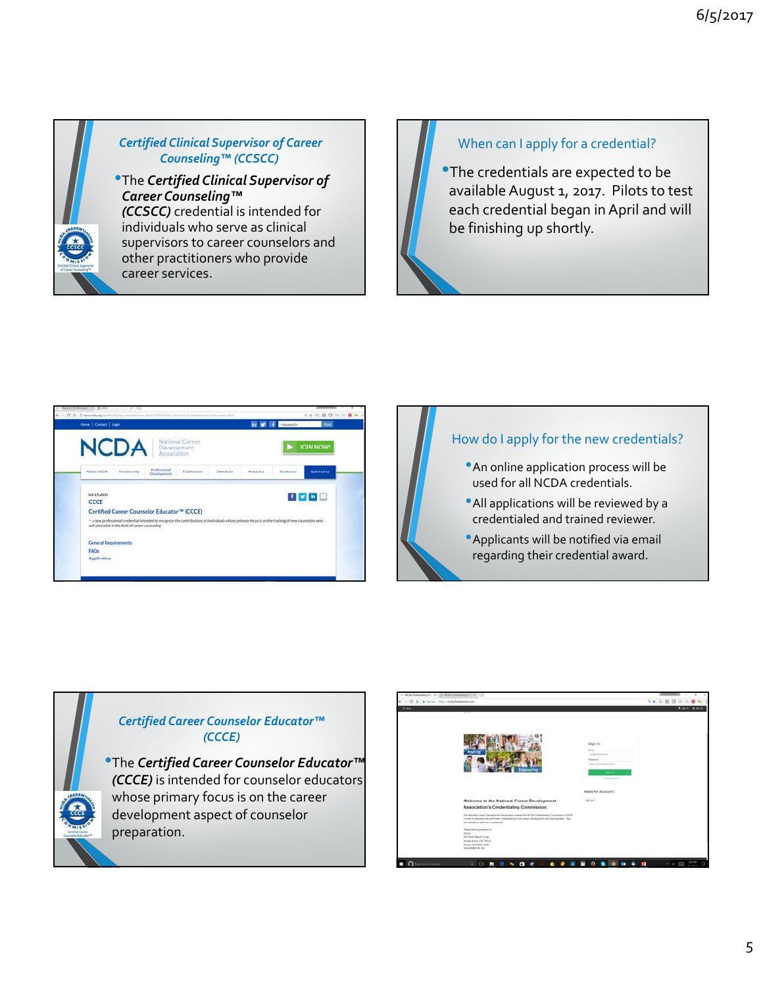

# *Certified Clinical Supervisor of Career Counseling™ (CCSCC)*

•The *Certified Clinical Supervisor of Career Counseling™ (CCSCC)* credential is intended for individuals who serve as clinical supervisors to career counselors and other practitioners who provide career services.

# When can I apply for a credential?

•The credentials are expected to be available August 1, 2017. Pilots to test each credential began in April and will be finishing up shortly.





# *Certified Career Counselor Educator™ (CCCE)*

•The *Certified Career Counselor Educator™ (CCCE)* is intended for counselor educators whose primary focus is on the career development aspect of counselor preparation.

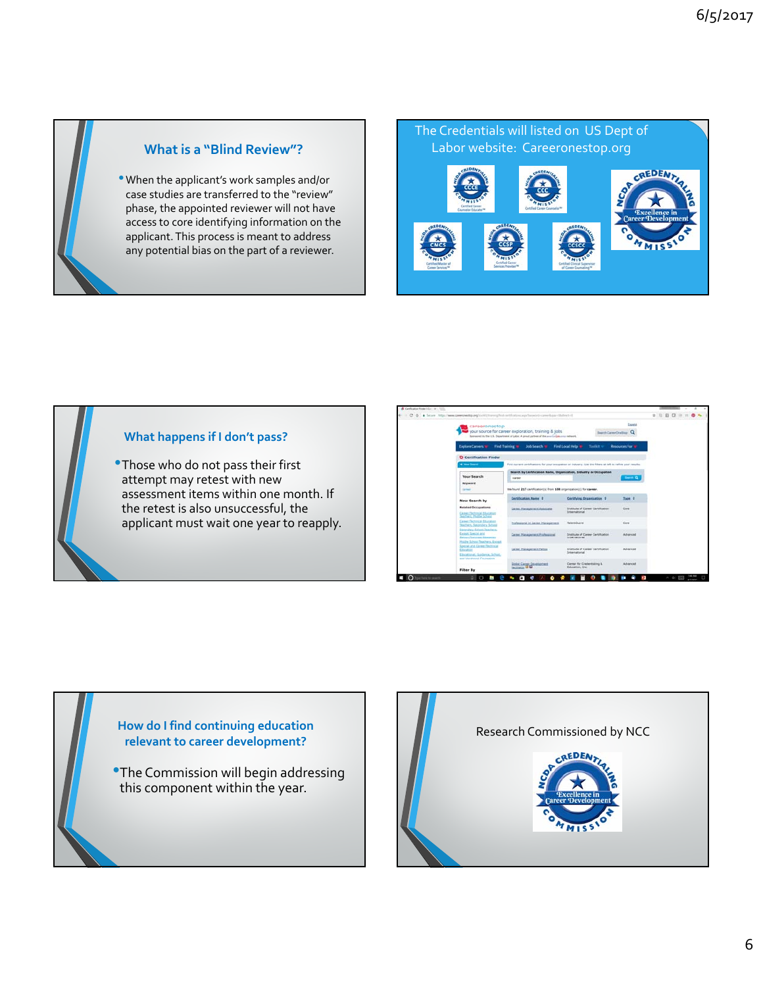

### **What is a "Blind Review"?**

•When the applicant's work samples and/or case studies are transferred to the "review" phase, the appointed reviewer will not have access to core identifying information on the applicant.This process is meant to address any potential bias on the part of a reviewer.

The Credentials will listed on US Dept of Labor website: Careeronestop.org CREDENT

#### **What happens if I don't pass?**

•Those who do not pass their first attempt may retest with new assessment items within one month. If the retest is also unsuccessful, the applicant must wait one year to reapply.

| <b>Except</b><br>careeronestop<br>your source for career exploration, training & jobs<br><b>Beach Corrective Card</b><br>Summered by the U.S. Department of Labor. A proud partner of the association area network |                                                                                                                        |                                                                                                              |                                                                |                         |  |
|--------------------------------------------------------------------------------------------------------------------------------------------------------------------------------------------------------------------|------------------------------------------------------------------------------------------------------------------------|--------------------------------------------------------------------------------------------------------------|----------------------------------------------------------------|-------------------------|--|
|                                                                                                                                                                                                                    | <b>Explore Careers 101</b>                                                                                             | Find Training<br><b>Job Search W</b>                                                                         | Find Local Help In<br>Tacikit v                                | <b>Resources For IN</b> |  |
|                                                                                                                                                                                                                    | D Certification Finder<br>· New Search                                                                                 | Find current certifications for your occupation or industry. Use the filters at left to refine your results. |                                                                |                         |  |
|                                                                                                                                                                                                                    | <b>Your Search</b>                                                                                                     | Search by Certification Name, Organization, Industry or Occupation<br>CATHY                                  |                                                                | <b>Search Co.</b>       |  |
| Keyword<br><b>Santaneon</b>                                                                                                                                                                                        | We found 217 carofication(s) from 108 organization(s) for career.                                                      |                                                                                                              |                                                                |                         |  |
|                                                                                                                                                                                                                    | New Search by                                                                                                          | Certification Name 2                                                                                         | Certifying Organization 1                                      | Type 2                  |  |
|                                                                                                                                                                                                                    | <b>Related Occupations</b><br>Career/Technicid Education<br><b>Sachers, Musike School</b>                              | Career Management Associate                                                                                  | Snitthula of Caneer Certification<br><b>Snowmational</b>       | Civic                   |  |
|                                                                                                                                                                                                                    | <b>Career/Technical Education</b><br><b>Teachers, Secondary School</b>                                                 | Professional In Career Hanagement                                                                            | TelentSuerd                                                    | Cow                     |  |
|                                                                                                                                                                                                                    | Secondary School Teachers,<br>Esclout Noethel and<br><b>Carrol Thorosan Rougerup</b><br>Hutche School Teachers, Escape | Career Management Professional                                                                               | <b>Statista of Career Certification</b><br><b>Solemetician</b> | Advanced                |  |
|                                                                                                                                                                                                                    | Special and Cireer Dechnical<br><b>Excellent</b><br>Ducational, Gardenia, Schuel,<br>and Vocational Counselors         | Career Management Fellow                                                                                     | Institute of Career Certification<br>Steamerries               | Advanced                |  |
|                                                                                                                                                                                                                    | <b>Filter By</b>                                                                                                       | <b>Good Cares Developed</b>                                                                                  | Center for Credentraling &<br>Education, Inc.                  | Abvanced                |  |